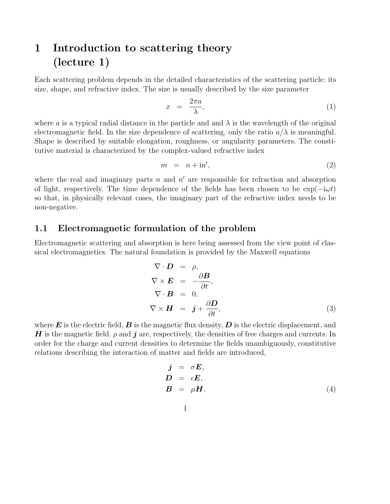## 1 Introduction to scattering theory (lecture 1)

Each scattering problem depends in the detailed characteristics of the scattering particle: its size, shape, and refractive index. The size is usually described by the size parameter

$$
x = \frac{2\pi a}{\lambda},\tag{1}
$$

where a is a typical radial distance in the particle and and  $\lambda$  is the wavelength of the original electromagnetic field. In the size dependence of scattering, only the ratio  $a/\lambda$  is meaningful. Shape is described by suitable elongation, roughness, or angularity parameters. The constitutive material is characterized by the complex-valued refractive index

$$
m = n + \mathrm{i}n',\tag{2}
$$

where the real and imaginary parts n and  $n'$  are responsible for refraction and absorption of light, respectively. The time dependence of the fields has been chosen to be  $\exp(-i\omega t)$ so that, in physically relevant cases, the imaginary part of the refractive index needs to be non-negative.

## 1.1 Electromagnetic formulation of the problem

Electromagnetic scattering and absorption is here being assessed from the view point of classical electromagnetics. The natural foundation is provided by the Maxwell equations

$$
\nabla \cdot \mathbf{D} = \rho,
$$
  
\n
$$
\nabla \times \mathbf{E} = -\frac{\partial \mathbf{B}}{\partial t},
$$
  
\n
$$
\nabla \cdot \mathbf{B} = 0,
$$
  
\n
$$
\nabla \times \mathbf{H} = \mathbf{j} + \frac{\partial \mathbf{D}}{\partial t},
$$
\n(3)

where  $\bm{E}$  is the electric field,  $\bm{B}$  is the magnetic flux density,  $\bm{D}$  is the electric displacement, and H is the magnetic field.  $\rho$  and j are, respectively, the densities of free charges and currents. In order for the charge and current densities to determine the fields unambiguously, constitutive relations describing the interaction of matter and fields are introduced,

$$
\begin{array}{rcl}\nj & = & \sigma E, \\
D & = & \epsilon E, \\
B & = & \mu H,\n\end{array} \tag{4}
$$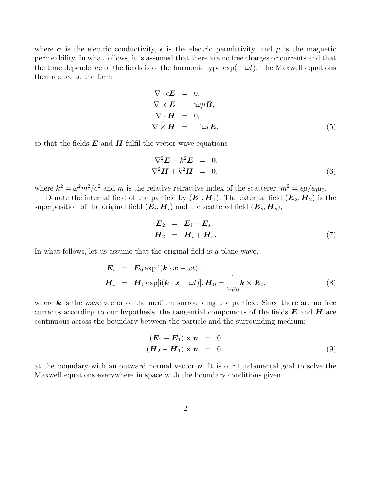where  $\sigma$  is the electric conductivity,  $\epsilon$  is the electric permittivity, and  $\mu$  is the magnetic permeability. In what follows, it is assumed that there are no free charges or currents and that the time dependence of the fields is of the harmonic type  $\exp(-i\omega t)$ . The Maxwell equations then reduce to the form

$$
\nabla \cdot \epsilon \mathbf{E} = 0,\n\nabla \times \mathbf{E} = i\omega \mu \mathbf{B},\n\nabla \cdot \mathbf{H} = 0,\n\nabla \times \mathbf{H} = -i\omega \epsilon \mathbf{E},
$$
\n(5)

so that the fields  $E$  and  $H$  fulfil the vector wave equations

$$
\nabla^2 \mathbf{E} + k^2 \mathbf{E} = 0, \n\nabla^2 \mathbf{H} + k^2 \mathbf{H} = 0,
$$
\n(6)

where  $k^2 = \omega^2 m^2/c^2$  and m is the relative refractive index of the scatterer,  $m^2 = \epsilon \mu/\epsilon_0 \mu_0$ .

Denote the internal field of the particle by  $(E_1, H_1)$ . The external field  $(E_2, H_2)$  is the superposition of the original field  $(E_i, H_i)$  and the scattered field  $(E_s, H_s)$ ,

$$
\begin{aligned}\n\boldsymbol{E}_2 &= \boldsymbol{E}_i + \boldsymbol{E}_s, \\
\boldsymbol{H}_2 &= \boldsymbol{H}_i + \boldsymbol{H}_s.\n\end{aligned} \tag{7}
$$

In what follows, let us assume that the original field is a plane wave,

$$
\mathbf{E}_{i} = \mathbf{E}_{0} \exp[i(\mathbf{k} \cdot \mathbf{x} - \omega t)], \n\mathbf{H}_{i} = \mathbf{H}_{0} \exp[i(\mathbf{k} \cdot \mathbf{x} - \omega t)], \mathbf{H}_{0} = \frac{1}{\omega \mu_{0}} \mathbf{k} \times \mathbf{E}_{0},
$$
\n(8)

where  $k$  is the wave vector of the medium surrounding the particle. Since there are no free currents according to our hypothesis, the tangential components of the fields  $E$  and  $H$  are continuous across the boundary between the particle and the surrounding medium:

$$
(\boldsymbol{E}_2 - \boldsymbol{E}_1) \times \boldsymbol{n} = 0,
$$
  
\n
$$
(\boldsymbol{H}_2 - \boldsymbol{H}_1) \times \boldsymbol{n} = 0,
$$
\n(9)

at the boundary with an outward normal vector  $n$ . It is our fundamental goal to solve the Maxwell equations everywhere in space with the boundary conditions given.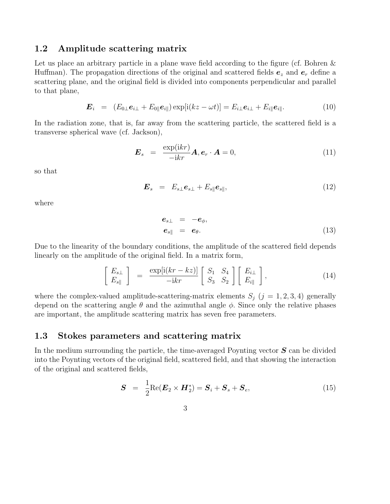## 1.2 Amplitude scattering matrix

Let us place an arbitrary particle in a plane wave field according to the figure (cf. Bohren & Huffman). The propagation directions of the original and scattered fields  $e_z$  and  $e_r$  define a scattering plane, and the original field is divided into components perpendicular and parallel to that plane,

$$
\boldsymbol{E}_i = (E_{0\perp}\boldsymbol{e}_{i\perp} + E_{0\parallel}\boldsymbol{e}_{i\parallel}) \exp[i(kz - \omega t)] = E_{i\perp}\boldsymbol{e}_{i\perp} + E_{i\parallel}\boldsymbol{e}_{i\parallel}.
$$
 (10)

In the radiation zone, that is, far away from the scattering particle, the scattered field is a transverse spherical wave (cf. Jackson),

$$
\boldsymbol{E}_s = \frac{\exp(ikr)}{-ikr} \boldsymbol{A}, \boldsymbol{e}_r \cdot \boldsymbol{A} = 0, \qquad (11)
$$

so that

$$
\boldsymbol{E}_s = E_{s\perp}\boldsymbol{e}_{s\perp} + E_{s\parallel}\boldsymbol{e}_{s\parallel},\tag{12}
$$

where

$$
\begin{array}{rcl}\n\mathbf{e}_{s\perp} & = & -\mathbf{e}_{\phi}, \\
\mathbf{e}_{s\parallel} & = & \mathbf{e}_{\theta}.\n\end{array} \tag{13}
$$

Due to the linearity of the boundary conditions, the amplitude of the scattered field depends linearly on the amplitude of the original field. In a matrix form,

$$
\begin{bmatrix} E_{s\perp} \\ E_{s\parallel} \end{bmatrix} = \frac{\exp[i(kr - kz)]}{-ikr} \begin{bmatrix} S_1 & S_4 \\ S_3 & S_2 \end{bmatrix} \begin{bmatrix} E_{i\perp} \\ E_{i\parallel} \end{bmatrix},
$$
(14)

where the complex-valued amplitude-scattering-matrix elements  $S_j$  ( $j = 1, 2, 3, 4$ ) generally depend on the scattering angle  $\theta$  and the azimuthal angle  $\phi$ . Since only the relative phases are important, the amplitude scattering matrix has seven free parameters.

## 1.3 Stokes parameters and scattering matrix

In the medium surrounding the particle, the time-averaged Poynting vector  $S$  can be divided into the Poynting vectors of the original field, scattered field, and that showing the interaction of the original and scattered fields,

$$
\mathbf{S} = \frac{1}{2} \text{Re} (\mathbf{E}_2 \times \mathbf{H}_2^*) = \mathbf{S}_i + \mathbf{S}_s + \mathbf{S}_e, \tag{15}
$$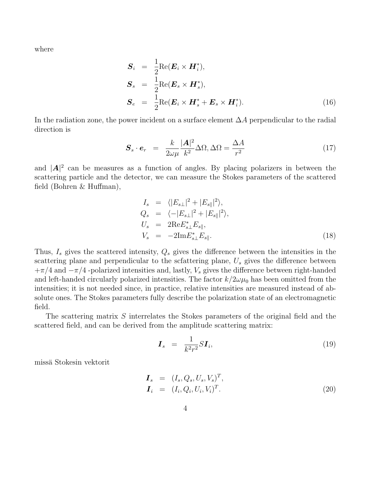where

$$
\mathbf{S}_{i} = \frac{1}{2} \text{Re}(\mathbf{E}_{i} \times \mathbf{H}_{i}^{*}),
$$
  
\n
$$
\mathbf{S}_{s} = \frac{1}{2} \text{Re}(\mathbf{E}_{s} \times \mathbf{H}_{s}^{*}),
$$
  
\n
$$
\mathbf{S}_{e} = \frac{1}{2} \text{Re}(\mathbf{E}_{i} \times \mathbf{H}_{s}^{*} + \mathbf{E}_{s} \times \mathbf{H}_{i}^{*}).
$$
\n(16)

In the radiation zone, the power incident on a surface element ∆A perpendicular to the radial direction is

$$
\mathbf{S}_s \cdot \mathbf{e}_r = \frac{k}{2\omega\mu} \frac{|\mathbf{A}|^2}{k^2} \Delta\Omega, \Delta\Omega = \frac{\Delta A}{r^2}
$$
(17)

and  $|A|^2$  can be measures as a function of angles. By placing polarizers in between the scattering particle and the detector, we can measure the Stokes parameters of the scattered field (Bohren & Huffman),

$$
I_s = \langle |E_{s\perp}|^2 + |E_{s\parallel}|^2 \rangle,
$$
  
\n
$$
Q_s = \langle -|E_{s\perp}|^2 + |E_{s\parallel}|^2 \rangle,
$$
  
\n
$$
U_s = 2\text{Re}E_{s\perp}^* E_{s\parallel},
$$
  
\n
$$
V_s = -2\text{Im}E_{s\perp}^* E_{s\parallel}.
$$
\n(18)

Thus,  $I_s$  gives the scattered intensity,  $Q_s$  gives the difference between the intensities in the scattering plane and perpendicular to the scfattering plane,  $U_s$  gives the difference between  $+\pi/4$  and  $-\pi/4$ -polarized intensities and, lastly,  $V_s$  gives the difference between right-handed and left-handed circularly polarized intensities. The factor  $k/2\omega\mu_0$  has been omitted from the intensities; it is not needed since, in practice, relative intensities are measured instead of absolute ones. The Stokes parameters fully describe the polarization state of an electromagnetic field.

The scattering matrix S interrelates the Stokes parameters of the original field and the scattered field, and can be derived from the amplitude scattering matrix:

$$
\boldsymbol{I}_s = \frac{1}{k^2 r^2} S \boldsymbol{I}_i, \tag{19}
$$

missä Stokesin vektorit

$$
\begin{aligned}\n\boldsymbol{I}_s &= (I_s, Q_s, U_s, V_s)^T, \\
\boldsymbol{I}_i &= (I_i, Q_i, U_i, V_i)^T.\n\end{aligned} \tag{20}
$$